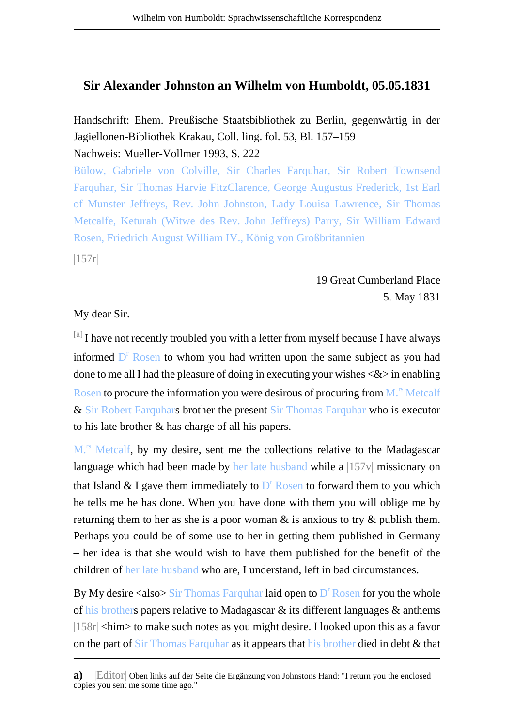## **Sir Alexander Johnston an Wilhelm von Humboldt, 05.05.1831**

Handschrift: Ehem. Preußische Staatsbibliothek zu Berlin, gegenwärtig in der Jagiellonen-Bibliothek Krakau, Coll. ling. fol. 53, Bl. 157–159 Nachweis: Mueller-Vollmer 1993, S. 222

Bülow, Gabriele von Colville, Sir Charles Farquhar, Sir Robert Townsend Farquhar, Sir Thomas Harvie FitzClarence, George Augustus Frederick, 1st Earl of Munster Jeffreys, Rev. John Johnston, Lady Louisa Lawrence, Sir Thomas Metcalfe, Keturah (Witwe des Rev. John Jeffreys) Parry, Sir William Edward Rosen, Friedrich August William IV., König von Großbritannien

|157r|

19 Great Cumberland Place 5. May 1831

My dear Sir.

[a] I have not recently troubled you with a letter from myself because I have always informed D<sup>r</sup> Rosen to whom you had written upon the same subject as you had done to me all I had the pleasure of doing in executing your wishes  $\langle \& \rangle$  in enabling Rosen to procure the information you were desirous of procuring from  $M<sup>rs</sup> Metcalf$ & Sir Robert Farquhars brother the present Sir Thomas Farquhar who is executor to his late brother & has charge of all his papers.

M.<sup>rs</sup> Metcalf, by my desire, sent me the collections relative to the Madagascar language which had been made by her late husband while a  $|157v|$  missionary on that Island & I gave them immediately to  $D<sup>r</sup>$  Rosen to forward them to you which he tells me he has done. When you have done with them you will oblige me by returning them to her as she is a poor woman  $\&$  is anxious to try  $\&$  publish them. Perhaps you could be of some use to her in getting them published in Germany – her idea is that she would wish to have them published for the benefit of the children of her late husband who are, I understand, left in bad circumstances.

By My desire <also> Sir Thomas Farquhar laid open to D<sup>r</sup> Rosen for you the whole of his brothers papers relative to Madagascar & its different languages & anthems |158r| <him> to make such notes as you might desire. I looked upon this as a favor on the part of Sir Thomas Farquhar as it appears that his brother died in debt & that

**a)** Editor Oben links auf der Seite die Ergänzung von Johnstons Hand: "I return you the enclosed copies you sent me some time ago."